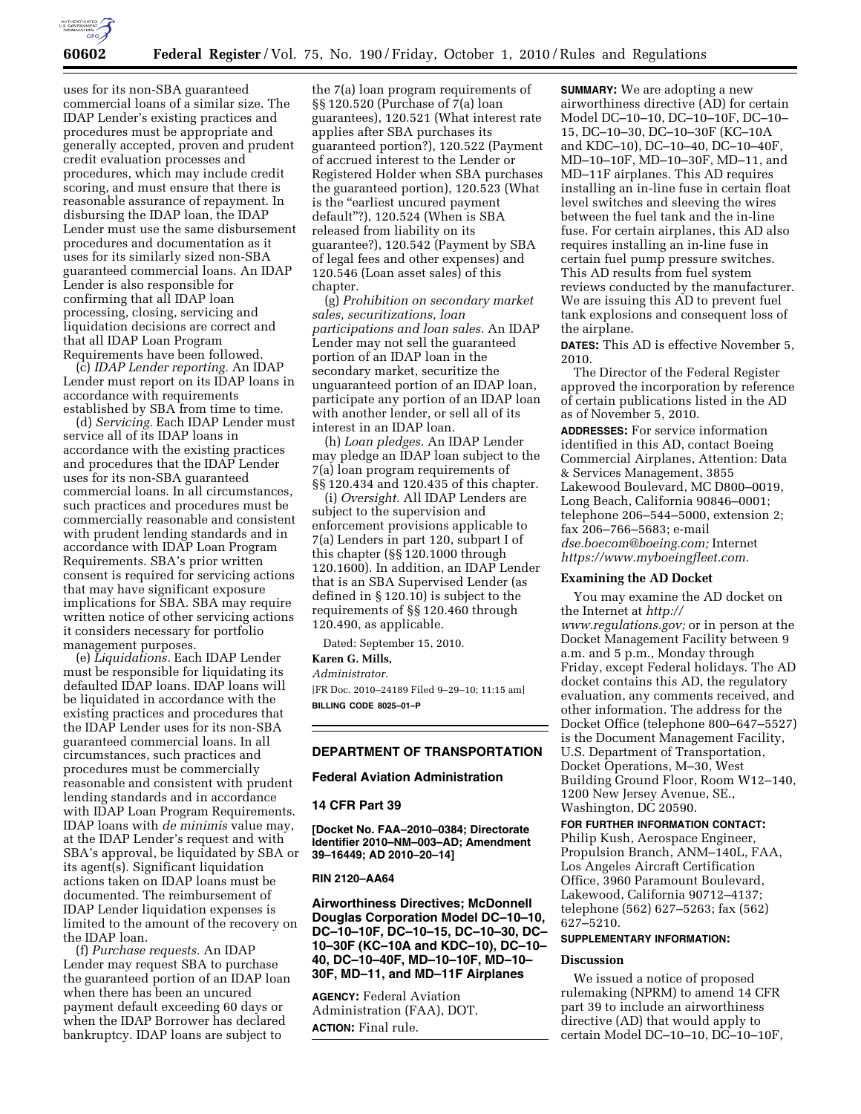

uses for its non-SBA guaranteed commercial loans of a similar size. The IDAP Lender's existing practices and procedures must be appropriate and generally accepted, proven and prudent credit evaluation processes and procedures, which may include credit scoring, and must ensure that there is reasonable assurance of repayment. In disbursing the IDAP loan, the IDAP Lender must use the same disbursement procedures and documentation as it uses for its similarly sized non-SBA guaranteed commercial loans. An IDAP Lender is also responsible for confirming that all IDAP loan processing, closing, servicing and liquidation decisions are correct and that all IDAP Loan Program Requirements have been followed.

(c) *IDAP Lender reporting.* An IDAP Lender must report on its IDAP loans in accordance with requirements established by SBA from time to time.

(d) *Servicing.* Each IDAP Lender must service all of its IDAP loans in accordance with the existing practices and procedures that the IDAP Lender uses for its non-SBA guaranteed commercial loans. In all circumstances, such practices and procedures must be commercially reasonable and consistent with prudent lending standards and in accordance with IDAP Loan Program Requirements. SBA's prior written consent is required for servicing actions that may have significant exposure implications for SBA. SBA may require written notice of other servicing actions it considers necessary for portfolio management purposes.

(e) *Liquidations.* Each IDAP Lender must be responsible for liquidating its defaulted IDAP loans. IDAP loans will be liquidated in accordance with the existing practices and procedures that the IDAP Lender uses for its non-SBA guaranteed commercial loans. In all circumstances, such practices and procedures must be commercially reasonable and consistent with prudent lending standards and in accordance with IDAP Loan Program Requirements. IDAP loans with *de minimis* value may, at the IDAP Lender's request and with SBA's approval, be liquidated by SBA or its agent(s). Significant liquidation actions taken on IDAP loans must be documented. The reimbursement of IDAP Lender liquidation expenses is limited to the amount of the recovery on the IDAP loan.

(f) *Purchase requests.* An IDAP Lender may request SBA to purchase the guaranteed portion of an IDAP loan when there has been an uncured payment default exceeding 60 days or when the IDAP Borrower has declared bankruptcy. IDAP loans are subject to

the 7(a) loan program requirements of §§ 120.520 (Purchase of 7(a) loan guarantees), 120.521 (What interest rate applies after SBA purchases its guaranteed portion?), 120.522 (Payment of accrued interest to the Lender or Registered Holder when SBA purchases the guaranteed portion), 120.523 (What is the "earliest uncured payment default''?), 120.524 (When is SBA released from liability on its guarantee?), 120.542 (Payment by SBA of legal fees and other expenses) and 120.546 (Loan asset sales) of this chapter.

(g) *Prohibition on secondary market sales, securitizations, loan participations and loan sales.* An IDAP Lender may not sell the guaranteed portion of an IDAP loan in the secondary market, securitize the unguaranteed portion of an IDAP loan, participate any portion of an IDAP loan with another lender, or sell all of its interest in an IDAP loan.

(h) *Loan pledges.* An IDAP Lender may pledge an IDAP loan subject to the 7(a) loan program requirements of §§ 120.434 and 120.435 of this chapter.

(i) *Oversight.* All IDAP Lenders are subject to the supervision and enforcement provisions applicable to 7(a) Lenders in part 120, subpart I of this chapter (§§ 120.1000 through 120.1600). In addition, an IDAP Lender that is an SBA Supervised Lender (as defined in § 120.10) is subject to the requirements of §§ 120.460 through 120.490, as applicable.

Dated: September 15, 2010.

**Karen G. Mills,** 

*Administrator.*  [FR Doc. 2010–24189 Filed 9–29–10; 11:15 am]

**BILLING CODE 8025–01–P** 

# **DEPARTMENT OF TRANSPORTATION**

## **Federal Aviation Administration**

### **14 CFR Part 39**

**[Docket No. FAA–2010–0384; Directorate Identifier 2010–NM–003–AD; Amendment 39–16449; AD 2010–20–14]** 

## **RIN 2120–AA64**

**Airworthiness Directives; McDonnell Douglas Corporation Model DC–10–10, DC–10–10F, DC–10–15, DC–10–30, DC– 10–30F (KC–10A and KDC–10), DC–10– 40, DC–10–40F, MD–10–10F, MD–10– 30F, MD–11, and MD–11F Airplanes** 

**AGENCY:** Federal Aviation Administration (FAA), DOT. **ACTION:** Final rule.

**SUMMARY:** We are adopting a new airworthiness directive (AD) for certain Model DC–10–10, DC–10–10F, DC–10– 15, DC–10–30, DC–10–30F (KC–10A and KDC–10), DC–10–40, DC–10–40F, MD–10–10F, MD–10–30F, MD–11, and MD–11F airplanes. This AD requires installing an in-line fuse in certain float level switches and sleeving the wires between the fuel tank and the in-line fuse. For certain airplanes, this AD also requires installing an in-line fuse in certain fuel pump pressure switches. This AD results from fuel system reviews conducted by the manufacturer. We are issuing this AD to prevent fuel tank explosions and consequent loss of the airplane.

**DATES:** This AD is effective November 5, 2010.

The Director of the Federal Register approved the incorporation by reference of certain publications listed in the AD as of November 5, 2010.

**ADDRESSES:** For service information identified in this AD, contact Boeing Commercial Airplanes, Attention: Data & Services Management, 3855 Lakewood Boulevard, MC D800–0019, Long Beach, California 90846–0001; telephone 206–544–5000, extension 2; fax 206–766–5683; e-mail *[dse.boecom@boeing.com;](mailto:dse.boecom@boeing.com)* Internet *[https://www.myboeingfleet.com.](https://www.myboeingfleet.com)* 

## **Examining the AD Docket**

You may examine the AD docket on the Internet at *[http://](http://www.regulations.gov)  [www.regulations.gov;](http://www.regulations.gov)* or in person at the Docket Management Facility between 9 a.m. and 5 p.m., Monday through Friday, except Federal holidays. The AD docket contains this AD, the regulatory evaluation, any comments received, and other information. The address for the Docket Office (telephone 800–647–5527) is the Document Management Facility, U.S. Department of Transportation, Docket Operations, M–30, West Building Ground Floor, Room W12–140, 1200 New Jersey Avenue, SE., Washington, DC 20590.

**FOR FURTHER INFORMATION CONTACT:**  Philip Kush, Aerospace Engineer, Propulsion Branch, ANM–140L, FAA, Los Angeles Aircraft Certification Office, 3960 Paramount Boulevard, Lakewood, California 90712–4137; telephone (562) 627–5263; fax (562) 627–5210.

# **SUPPLEMENTARY INFORMATION:**

# **Discussion**

We issued a notice of proposed rulemaking (NPRM) to amend 14 CFR part 39 to include an airworthiness directive (AD) that would apply to certain Model DC–10–10, DC–10–10F,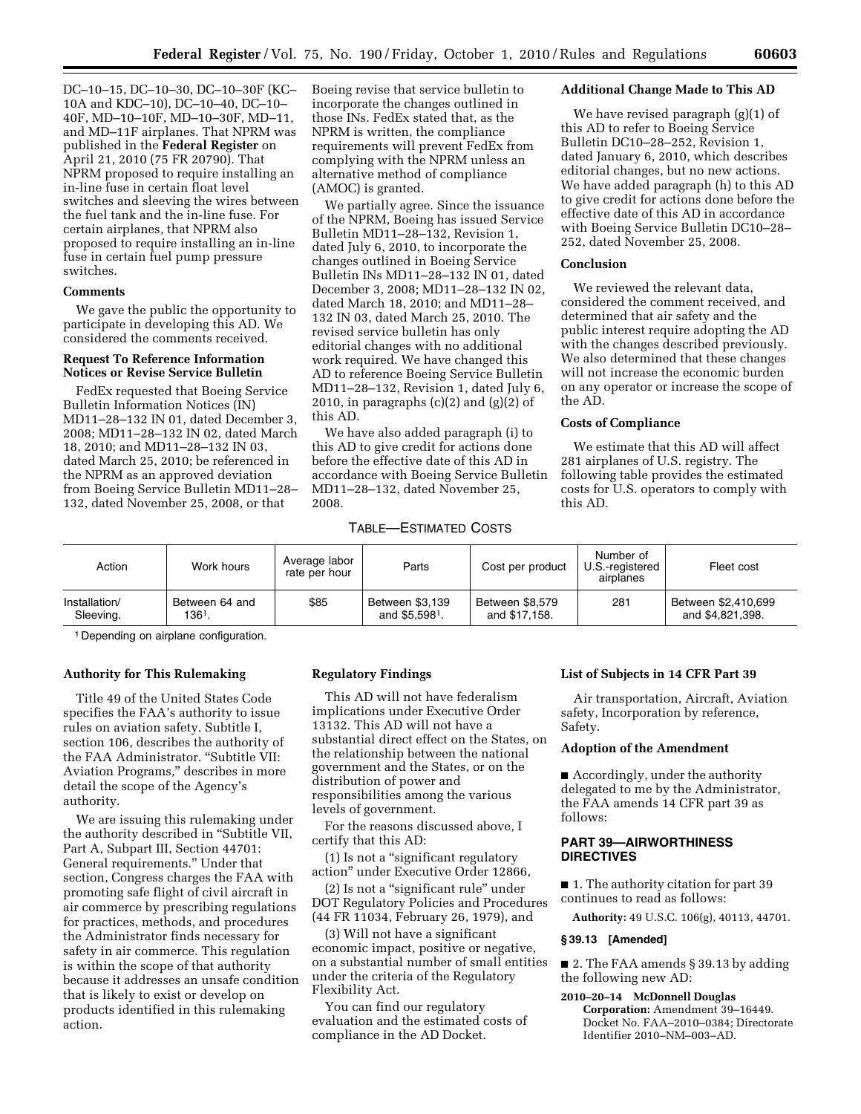DC–10–15, DC–10–30, DC–10–30F (KC– 10A and KDC–10), DC–10–40, DC–10– 40F, MD–10–10F, MD–10–30F, MD–11, and MD–11F airplanes. That NPRM was published in the **Federal Register** on April 21, 2010 (75 FR 20790). That NPRM proposed to require installing an in-line fuse in certain float level switches and sleeving the wires between the fuel tank and the in-line fuse. For certain airplanes, that NPRM also proposed to require installing an in-line fuse in certain fuel pump pressure switches.

# **Comments**

We gave the public the opportunity to participate in developing this AD. We considered the comments received.

## **Request To Reference Information Notices or Revise Service Bulletin**

FedEx requested that Boeing Service Bulletin Information Notices (IN) MD11–28–132 IN 01, dated December 3, 2008; MD11–28–132 IN 02, dated March 18, 2010; and MD11–28–132 IN 03, dated March 25, 2010; be referenced in the NPRM as an approved deviation from Boeing Service Bulletin MD11–28– 132, dated November 25, 2008, or that

Boeing revise that service bulletin to incorporate the changes outlined in those INs. FedEx stated that, as the NPRM is written, the compliance requirements will prevent FedEx from complying with the NPRM unless an alternative method of compliance (AMOC) is granted.

We partially agree. Since the issuance of the NPRM, Boeing has issued Service Bulletin MD11–28–132, Revision 1, dated July 6, 2010, to incorporate the changes outlined in Boeing Service Bulletin INs MD11–28–132 IN 01, dated December 3, 2008; MD11–28–132 IN 02, dated March 18, 2010; and MD11–28– 132 IN 03, dated March 25, 2010. The revised service bulletin has only editorial changes with no additional work required. We have changed this AD to reference Boeing Service Bulletin MD11–28–132, Revision 1, dated July 6, 2010, in paragraphs  $(c)(2)$  and  $(g)(2)$  of this AD.

We have also added paragraph (i) to this AD to give credit for actions done before the effective date of this AD in accordance with Boeing Service Bulletin MD11–28–132, dated November 25, 2008.

### **Additional Change Made to This AD**

We have revised paragraph (g)(1) of this AD to refer to Boeing Service Bulletin DC10–28–252, Revision 1, dated January 6, 2010, which describes editorial changes, but no new actions. We have added paragraph (h) to this AD to give credit for actions done before the effective date of this AD in accordance with Boeing Service Bulletin DC10–28– 252, dated November 25, 2008.

# **Conclusion**

We reviewed the relevant data, considered the comment received, and determined that air safety and the public interest require adopting the AD with the changes described previously. We also determined that these changes will not increase the economic burden on any operator or increase the scope of the AD.

## **Costs of Compliance**

We estimate that this AD will affect 281 airplanes of U.S. registry. The following table provides the estimated costs for U.S. operators to comply with this AD.

# TABLE—ESTIMATED COSTS

| Action                     | Work hours                 | Average labor<br>rate per hour | Parts                                         | Cost per product                 | Number of<br>U.S.-registered<br>airplanes | Fleet cost                              |
|----------------------------|----------------------------|--------------------------------|-----------------------------------------------|----------------------------------|-------------------------------------------|-----------------------------------------|
| Installation/<br>Sleeving. | Between 64 and<br>$1361$ . | \$85                           | Between \$3,139<br>and \$5.598 <sup>1</sup> . | Between \$8,579<br>and \$17.158. | 281                                       | Between \$2,410,699<br>and \$4.821.398. |

1 Depending on airplane configuration.

### **Authority for This Rulemaking**

Title 49 of the United States Code specifies the FAA's authority to issue rules on aviation safety. Subtitle I, section 106, describes the authority of the FAA Administrator. "Subtitle VII: Aviation Programs,'' describes in more detail the scope of the Agency's authority.

We are issuing this rulemaking under the authority described in ''Subtitle VII, Part A, Subpart III, Section 44701: General requirements.'' Under that section, Congress charges the FAA with promoting safe flight of civil aircraft in air commerce by prescribing regulations for practices, methods, and procedures the Administrator finds necessary for safety in air commerce. This regulation is within the scope of that authority because it addresses an unsafe condition that is likely to exist or develop on products identified in this rulemaking action.

## **Regulatory Findings**

This AD will not have federalism implications under Executive Order 13132. This AD will not have a substantial direct effect on the States, on the relationship between the national government and the States, or on the distribution of power and responsibilities among the various levels of government.

For the reasons discussed above, I certify that this AD:

(1) Is not a ''significant regulatory action'' under Executive Order 12866,

(2) Is not a ''significant rule'' under DOT Regulatory Policies and Procedures (44 FR 11034, February 26, 1979), and

(3) Will not have a significant economic impact, positive or negative, on a substantial number of small entities under the criteria of the Regulatory Flexibility Act.

You can find our regulatory evaluation and the estimated costs of compliance in the AD Docket.

### **List of Subjects in 14 CFR Part 39**

Air transportation, Aircraft, Aviation safety, Incorporation by reference, Safety.

## **Adoption of the Amendment**

■ Accordingly, under the authority delegated to me by the Administrator, the FAA amends 14 CFR part 39 as follows:

# **PART 39—AIRWORTHINESS DIRECTIVES**

■ 1. The authority citation for part 39 continues to read as follows:

**Authority:** 49 U.S.C. 106(g), 40113, 44701.

#### **§ 39.13 [Amended]**

■ 2. The FAA amends § 39.13 by adding the following new AD:

# **2010–20–14 McDonnell Douglas**

**Corporation:** Amendment 39–16449. Docket No. FAA–2010–0384; Directorate Identifier 2010–NM–003–AD.